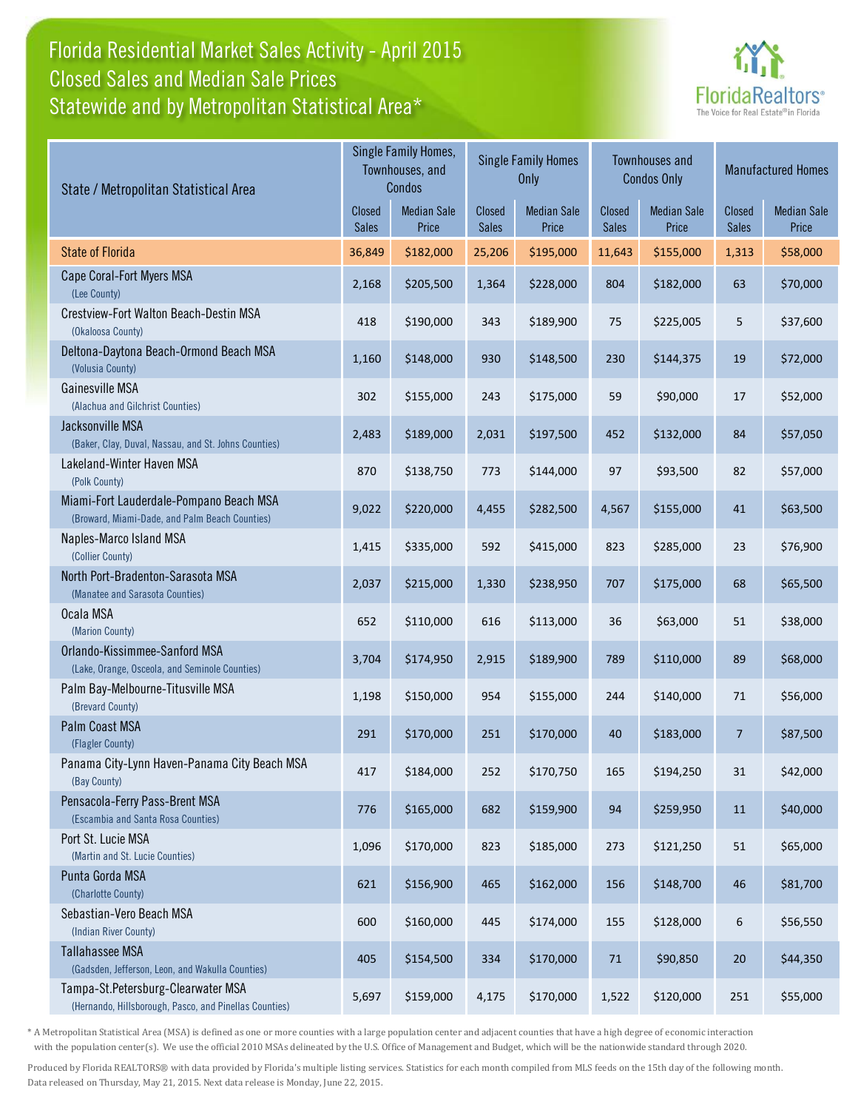## Florida Residential Market Sales Activity - April 2015 Statewide and by Metropolitan Statistical Area\* Closed Sales and Median Sale Prices



| State / Metropolitan Statistical Area                                                        |                               | Single Family Homes,<br>Townhouses, and<br>Condos |                               | <b>Single Family Homes</b><br>Only |                               | <b>Townhouses and</b><br><b>Condos Only</b> |                 | <b>Manufactured Homes</b>   |  |
|----------------------------------------------------------------------------------------------|-------------------------------|---------------------------------------------------|-------------------------------|------------------------------------|-------------------------------|---------------------------------------------|-----------------|-----------------------------|--|
|                                                                                              | <b>Closed</b><br><b>Sales</b> | <b>Median Sale</b><br>Price                       | <b>Closed</b><br><b>Sales</b> | <b>Median Sale</b><br>Price        | <b>Closed</b><br><b>Sales</b> | <b>Median Sale</b><br>Price                 | Closed<br>Sales | <b>Median Sale</b><br>Price |  |
| <b>State of Florida</b>                                                                      | 36,849                        | \$182,000                                         | 25,206                        | \$195,000                          | 11,643                        | \$155,000                                   | 1,313           | \$58,000                    |  |
| Cape Coral-Fort Myers MSA<br>(Lee County)                                                    | 2,168                         | \$205,500                                         | 1,364                         | \$228,000                          | 804                           | \$182,000                                   | 63              | \$70,000                    |  |
| Crestview-Fort Walton Beach-Destin MSA<br>(Okaloosa County)                                  | 418                           | \$190,000                                         | 343                           | \$189,900                          | 75                            | \$225,005                                   | 5               | \$37,600                    |  |
| Deltona-Daytona Beach-Ormond Beach MSA<br>(Volusia County)                                   | 1,160                         | \$148,000                                         | 930                           | \$148,500                          | 230                           | \$144,375                                   | 19              | \$72,000                    |  |
| Gainesville MSA<br>(Alachua and Gilchrist Counties)                                          | 302                           | \$155,000                                         | 243                           | \$175,000                          | 59                            | \$90,000                                    | 17              | \$52,000                    |  |
| Jacksonville MSA<br>(Baker, Clay, Duval, Nassau, and St. Johns Counties)                     | 2,483                         | \$189,000                                         | 2,031                         | \$197,500                          | 452                           | \$132,000                                   | 84              | \$57,050                    |  |
| Lakeland-Winter Haven MSA<br>(Polk County)                                                   | 870                           | \$138,750                                         | 773                           | \$144,000                          | 97                            | \$93,500                                    | 82              | \$57,000                    |  |
| Miami-Fort Lauderdale-Pompano Beach MSA<br>(Broward, Miami-Dade, and Palm Beach Counties)    | 9,022                         | \$220,000                                         | 4,455                         | \$282,500                          | 4,567                         | \$155,000                                   | 41              | \$63,500                    |  |
| Naples-Marco Island MSA<br>(Collier County)                                                  | 1,415                         | \$335,000                                         | 592                           | \$415,000                          | 823                           | \$285,000                                   | 23              | \$76,900                    |  |
| North Port-Bradenton-Sarasota MSA<br>(Manatee and Sarasota Counties)                         | 2,037                         | \$215,000                                         | 1,330                         | \$238,950                          | 707                           | \$175,000                                   | 68              | \$65,500                    |  |
| Ocala MSA<br>(Marion County)                                                                 | 652                           | \$110,000                                         | 616                           | \$113,000                          | 36                            | \$63,000                                    | 51              | \$38,000                    |  |
| Orlando-Kissimmee-Sanford MSA<br>(Lake, Orange, Osceola, and Seminole Counties)              | 3,704                         | \$174,950                                         | 2,915                         | \$189,900                          | 789                           | \$110,000                                   | 89              | \$68,000                    |  |
| Palm Bay-Melbourne-Titusville MSA<br>(Brevard County)                                        | 1,198                         | \$150,000                                         | 954                           | \$155,000                          | 244                           | \$140,000                                   | 71              | \$56,000                    |  |
| Palm Coast MSA<br>(Flagler County)                                                           | 291                           | \$170,000                                         | 251                           | \$170,000                          | 40                            | \$183,000                                   | 7               | \$87,500                    |  |
| Panama City-Lynn Haven-Panama City Beach MSA<br>(Bay County)                                 | 417                           | \$184,000                                         | 252                           | \$170,750                          | 165                           | \$194,250                                   | 31              | \$42,000                    |  |
| Pensacola-Ferry Pass-Brent MSA<br>(Escambia and Santa Rosa Counties)                         | 776                           | \$165,000                                         | 682                           | \$159,900                          | 94                            | \$259,950                                   | 11              | \$40,000                    |  |
| Port St. Lucie MSA<br>(Martin and St. Lucie Counties)                                        | 1,096                         | \$170,000                                         | 823                           | \$185,000                          | 273                           | \$121,250                                   | 51              | \$65,000                    |  |
| Punta Gorda MSA<br>(Charlotte County)                                                        | 621                           | \$156,900                                         | 465                           | \$162,000                          | 156                           | \$148,700                                   | 46              | \$81,700                    |  |
| Sebastian-Vero Beach MSA<br>(Indian River County)                                            | 600                           | \$160,000                                         | 445                           | \$174,000                          | 155                           | \$128,000                                   | 6               | \$56,550                    |  |
| <b>Tallahassee MSA</b><br>(Gadsden, Jefferson, Leon, and Wakulla Counties)                   | 405                           | \$154,500                                         | 334                           | \$170,000                          | 71                            | \$90,850                                    | $20\,$          | \$44,350                    |  |
| Tampa-St.Petersburg-Clearwater MSA<br>(Hernando, Hillsborough, Pasco, and Pinellas Counties) | 5,697                         | \$159,000                                         | 4,175                         | \$170,000                          | 1,522                         | \$120,000                                   | 251             | \$55,000                    |  |

\* A Metropolitan Statistical Area (MSA) is defined as one or more counties with a large population center and adjacent counties that have a high degree of economic interaction with the population center(s). We use the official 2010 MSAs delineated by the U.S. Office of Management and Budget, which will be the nationwide standard through 2020.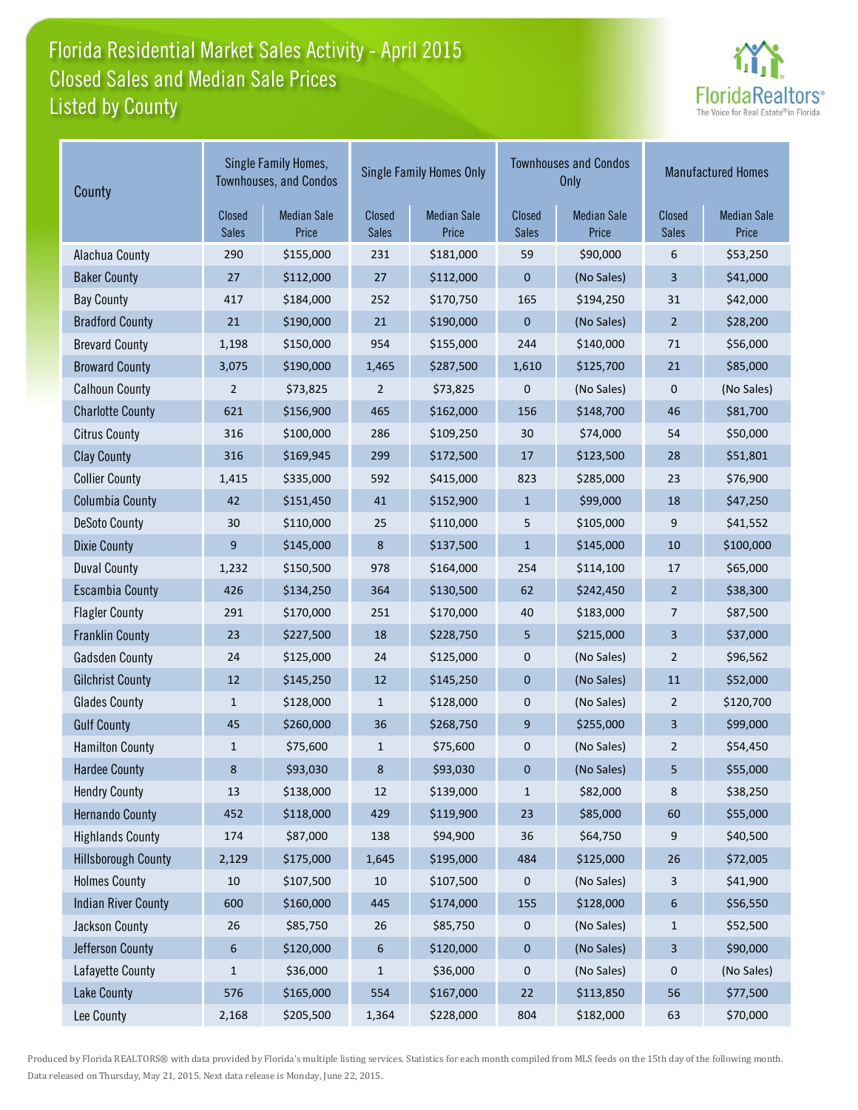# Florida Residential Market Sales Activity - April 2015 Listed by County Closed Sales and Median Sale Prices



| County                     |                        | Single Family Homes,<br><b>Townhouses, and Condos</b> |                        | <b>Single Family Homes Only</b> | <b>Townhouses and Condos</b><br><b>Only</b> | <b>Manufactured Homes</b>   |                  |                             |
|----------------------------|------------------------|-------------------------------------------------------|------------------------|---------------------------------|---------------------------------------------|-----------------------------|------------------|-----------------------------|
|                            | Closed<br><b>Sales</b> | <b>Median Sale</b><br>Price                           | Closed<br><b>Sales</b> | <b>Median Sale</b><br>Price     | Closed<br><b>Sales</b>                      | <b>Median Sale</b><br>Price | Closed<br>Sales  | <b>Median Sale</b><br>Price |
| Alachua County             | 290                    | \$155,000                                             | 231                    | \$181,000                       | 59                                          | \$90,000                    | 6                | \$53,250                    |
| <b>Baker County</b>        | 27                     | \$112,000                                             | 27                     | \$112,000                       | 0                                           | (No Sales)                  | 3                | \$41,000                    |
| <b>Bay County</b>          | 417                    | \$184,000                                             | 252                    | \$170,750                       | 165                                         | \$194,250                   | 31               | \$42,000                    |
| <b>Bradford County</b>     | 21                     | \$190,000                                             | 21                     | \$190,000                       | 0                                           | (No Sales)                  | $\overline{2}$   | \$28,200                    |
| <b>Brevard County</b>      | 1,198                  | \$150,000                                             | 954                    | \$155,000                       | 244                                         | \$140,000                   | 71               | \$56,000                    |
| <b>Broward County</b>      | 3,075                  | \$190,000                                             | 1,465                  | \$287,500                       | 1,610                                       | \$125,700                   | 21               | \$85,000                    |
| <b>Calhoun County</b>      | $\overline{2}$         | \$73,825                                              | $\overline{2}$         | \$73,825                        | 0                                           | (No Sales)                  | 0                | (No Sales)                  |
| <b>Charlotte County</b>    | 621                    | \$156,900                                             | 465                    | \$162,000                       | 156                                         | \$148,700                   | 46               | \$81,700                    |
| <b>Citrus County</b>       | 316                    | \$100,000                                             | 286                    | \$109,250                       | 30                                          | \$74,000                    | 54               | \$50,000                    |
| <b>Clay County</b>         | 316                    | \$169,945                                             | 299                    | \$172,500                       | 17                                          | \$123,500                   | 28               | \$51,801                    |
| <b>Collier County</b>      | 1,415                  | \$335,000                                             | 592                    | \$415,000                       | 823                                         | \$285,000                   | 23               | \$76,900                    |
| <b>Columbia County</b>     | 42                     | \$151,450                                             | 41                     | \$152,900                       | $\mathbf{1}$                                | \$99,000                    | 18               | \$47,250                    |
| <b>DeSoto County</b>       | 30                     | \$110,000                                             | 25                     | \$110,000                       | 5                                           | \$105,000                   | 9                | \$41,552                    |
| <b>Dixie County</b>        | 9                      | \$145,000                                             | 8                      | \$137,500                       | $\mathbf{1}$                                | \$145,000                   | 10               | \$100,000                   |
| <b>Duval County</b>        | 1,232                  | \$150,500                                             | 978                    | \$164,000                       | 254                                         | \$114,100                   | 17               | \$65,000                    |
| <b>Escambia County</b>     | 426                    | \$134,250                                             | 364                    | \$130,500                       | 62                                          | \$242,450                   | $\overline{2}$   | \$38,300                    |
| <b>Flagler County</b>      | 291                    | \$170,000                                             | 251                    | \$170,000                       | 40                                          | \$183,000                   | 7                | \$87,500                    |
| <b>Franklin County</b>     | 23                     | \$227,500                                             | 18                     | \$228,750                       | 5                                           | \$215,000                   | 3                | \$37,000                    |
| <b>Gadsden County</b>      | 24                     | \$125,000                                             | 24                     | \$125,000                       | 0                                           | (No Sales)                  | $\overline{2}$   | \$96,562                    |
| <b>Gilchrist County</b>    | 12                     | \$145,250                                             | 12                     | \$145,250                       | $\pmb{0}$                                   | (No Sales)                  | 11               | \$52,000                    |
| <b>Glades County</b>       | $\mathbf{1}$           | \$128,000                                             | $\mathbf{1}$           | \$128,000                       | 0                                           | (No Sales)                  | 2                | \$120,700                   |
| <b>Gulf County</b>         | 45                     | \$260,000                                             | 36                     | \$268,750                       | 9                                           | \$255,000                   | 3                | \$99,000                    |
| <b>Hamilton County</b>     | $\mathbf{1}$           | \$75,600                                              | $\mathbf{1}$           | \$75,600                        | 0                                           | (No Sales)                  | 2                | \$54,450                    |
| <b>Hardee County</b>       | 8                      | \$93,030                                              | 8                      | \$93,030                        | 0                                           | (No Sales)                  | 5                | \$55,000                    |
| <b>Hendry County</b>       | $13\,$                 | \$138,000                                             | 12                     | \$139,000                       | $\mathbf{1}$                                | \$82,000                    | 8                | \$38,250                    |
| <b>Hernando County</b>     | 452                    | \$118,000                                             | 429                    | \$119,900                       | 23                                          | \$85,000                    | 60               | \$55,000                    |
| <b>Highlands County</b>    | 174                    | \$87,000                                              | 138                    | \$94,900                        | 36                                          | \$64,750                    | 9                | \$40,500                    |
| <b>Hillsborough County</b> | 2,129                  | \$175,000                                             | 1,645                  | \$195,000                       | 484                                         | \$125,000                   | 26               | \$72,005                    |
| <b>Holmes County</b>       | $10\,$                 | \$107,500                                             | 10                     | \$107,500                       | 0                                           | (No Sales)                  | 3                | \$41,900                    |
| <b>Indian River County</b> | 600                    | \$160,000                                             | 445                    | \$174,000                       | 155                                         | \$128,000                   | $\boldsymbol{6}$ | \$56,550                    |
| <b>Jackson County</b>      | 26                     | \$85,750                                              | 26                     | \$85,750                        | 0                                           | (No Sales)                  | $\mathbf{1}$     | \$52,500                    |
| Jefferson County           | $\boldsymbol{6}$       | \$120,000                                             | 6                      | \$120,000                       | 0                                           | (No Sales)                  | $\mathsf{3}$     | \$90,000                    |
| Lafayette County           | $\mathbf{1}$           | \$36,000                                              | $\mathbf{1}$           | \$36,000                        | 0                                           | (No Sales)                  | 0                | (No Sales)                  |
| Lake County                | 576                    | \$165,000                                             | 554                    | \$167,000                       | 22                                          | \$113,850                   | 56               | \$77,500                    |
| Lee County                 | 2,168                  | \$205,500                                             | 1,364                  | \$228,000                       | 804                                         | \$182,000                   | 63               | \$70,000                    |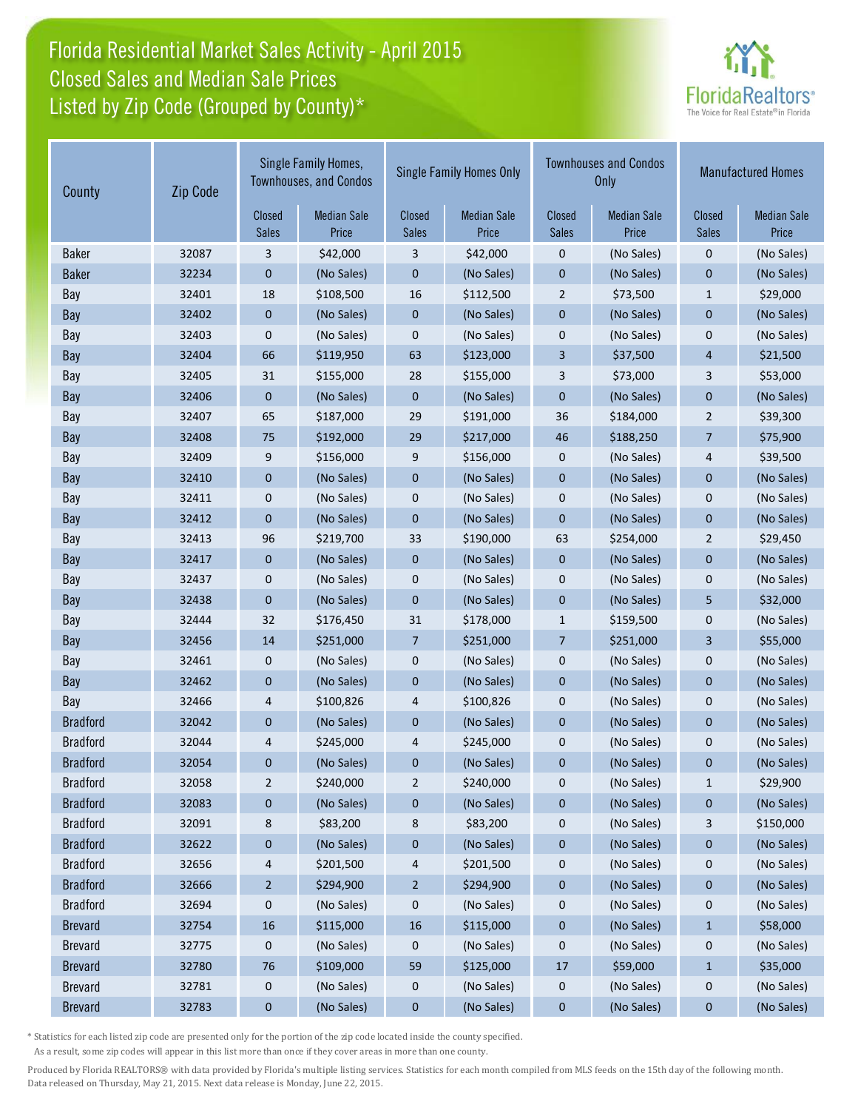# Florida Residential Market Sales Activity - April 2015 Listed by Zip Code (Grouped by County)\* Closed Sales and Median Sale Prices



| County          | Zip Code        | Single Family Homes,<br><b>Townhouses, and Condos</b> |                        | <b>Single Family Homes Only</b> |                        |                             | <b>Townhouses and Condos</b><br>Only | <b>Manufactured Homes</b>   |            |
|-----------------|-----------------|-------------------------------------------------------|------------------------|---------------------------------|------------------------|-----------------------------|--------------------------------------|-----------------------------|------------|
|                 | Closed<br>Sales | <b>Median Sale</b><br>Price                           | Closed<br><b>Sales</b> | <b>Median Sale</b><br>Price     | Closed<br><b>Sales</b> | <b>Median Sale</b><br>Price | Closed<br><b>Sales</b>               | <b>Median Sale</b><br>Price |            |
| <b>Baker</b>    | 32087           | 3                                                     | \$42,000               | 3                               | \$42,000               | $\mathbf 0$                 | (No Sales)                           | $\mathbf 0$                 | (No Sales) |
| <b>Baker</b>    | 32234           | $\pmb{0}$                                             | (No Sales)             | $\pmb{0}$                       | (No Sales)             | $\mathbf 0$                 | (No Sales)                           | $\mathbf 0$                 | (No Sales) |
| Bay             | 32401           | 18                                                    | \$108,500              | 16                              | \$112,500              | $\overline{2}$              | \$73,500                             | $\mathbf{1}$                | \$29,000   |
| Bay             | 32402           | $\boldsymbol{0}$                                      | (No Sales)             | $\pmb{0}$                       | (No Sales)             | $\pmb{0}$                   | (No Sales)                           | $\mathbf 0$                 | (No Sales) |
| Bay             | 32403           | 0                                                     | (No Sales)             | 0                               | (No Sales)             | $\mathbf 0$                 | (No Sales)                           | $\mathbf 0$                 | (No Sales) |
| Bay             | 32404           | 66                                                    | \$119,950              | 63                              | \$123,000              | 3                           | \$37,500                             | 4                           | \$21,500   |
| Bay             | 32405           | 31                                                    | \$155,000              | 28                              | \$155,000              | 3                           | \$73,000                             | 3                           | \$53,000   |
| Bay             | 32406           | 0                                                     | (No Sales)             | $\mathbf 0$                     | (No Sales)             | $\mathbf{0}$                | (No Sales)                           | $\mathbf 0$                 | (No Sales) |
| Bay             | 32407           | 65                                                    | \$187,000              | 29                              | \$191,000              | 36                          | \$184,000                            | $\overline{2}$              | \$39,300   |
| Bay             | 32408           | 75                                                    | \$192,000              | 29                              | \$217,000              | 46                          | \$188,250                            | $\overline{7}$              | \$75,900   |
| Bay             | 32409           | 9                                                     | \$156,000              | 9                               | \$156,000              | $\mathbf 0$                 | (No Sales)                           | 4                           | \$39,500   |
| Bay             | 32410           | $\mathbf 0$                                           | (No Sales)             | $\mathbf 0$                     | (No Sales)             | $\mathbf 0$                 | (No Sales)                           | $\mathbf{0}$                | (No Sales) |
| Bay             | 32411           | 0                                                     | (No Sales)             | 0                               | (No Sales)             | $\pmb{0}$                   | (No Sales)                           | $\mathbf 0$                 | (No Sales) |
| Bay             | 32412           | $\mathbf 0$                                           | (No Sales)             | $\pmb{0}$                       | (No Sales)             | $\mathbf{0}$                | (No Sales)                           | $\mathbf{0}$                | (No Sales) |
| Bay             | 32413           | 96                                                    | \$219,700              | 33                              | \$190,000              | 63                          | \$254,000                            | $\overline{2}$              | \$29,450   |
| Bay             | 32417           | $\boldsymbol{0}$                                      | (No Sales)             | 0                               | (No Sales)             | $\boldsymbol{0}$            | (No Sales)                           | $\mathbf{0}$                | (No Sales) |
| Bay             | 32437           | $\mathbf 0$                                           | (No Sales)             | 0                               | (No Sales)             | $\mathbf 0$                 | (No Sales)                           | 0                           | (No Sales) |
| Bay             | 32438           | $\mathbf 0$                                           | (No Sales)             | $\pmb{0}$                       | (No Sales)             | $\pmb{0}$                   | (No Sales)                           | 5                           | \$32,000   |
| Bay             | 32444           | 32                                                    | \$176,450              | 31                              | \$178,000              | $\mathbf{1}$                | \$159,500                            | $\mathbf 0$                 | (No Sales) |
| Bay             | 32456           | 14                                                    | \$251,000              | 7                               | \$251,000              | 7                           | \$251,000                            | 3                           | \$55,000   |
| Bay             | 32461           | 0                                                     | (No Sales)             | 0                               | (No Sales)             | $\pmb{0}$                   | (No Sales)                           | $\pmb{0}$                   | (No Sales) |
| Bay             | 32462           | $\pmb{0}$                                             | (No Sales)             | $\pmb{0}$                       | (No Sales)             | $\mathbf 0$                 | (No Sales)                           | $\mathbf 0$                 | (No Sales) |
| Bay             | 32466           | 4                                                     | \$100,826              | 4                               | \$100,826              | $\mathbf 0$                 | (No Sales)                           | $\mathbf 0$                 | (No Sales) |
| <b>Bradford</b> | 32042           | $\mathbf 0$                                           | (No Sales)             | $\mathbf 0$                     | (No Sales)             | $\mathbf{0}$                | (No Sales)                           | $\mathbf{0}$                | (No Sales) |
| <b>Bradford</b> | 32044           | 4                                                     | \$245,000              | 4                               | \$245,000              | $\mathbf 0$                 | (No Sales)                           | $\mathbf 0$                 | (No Sales) |
| <b>Bradford</b> | 32054           | 0                                                     | (No Sales)             | 0                               | (No Sales)             | 0                           | (No Sales)                           | $\mathbf 0$                 | (No Sales) |
| <b>Bradford</b> | 32058           | 2                                                     | \$240,000              | $\overline{c}$                  | \$240,000              | 0                           | (No Sales)                           | $\mathbf{1}$                | \$29,900   |
| <b>Bradford</b> | 32083           | 0                                                     | (No Sales)             | $\bf{0}$                        | (No Sales)             | $\boldsymbol{0}$            | (No Sales)                           | $\bf{0}$                    | (No Sales) |
| <b>Bradford</b> | 32091           | 8                                                     | \$83,200               | 8                               | \$83,200               | $\boldsymbol{0}$            | (No Sales)                           | 3                           | \$150,000  |
| <b>Bradford</b> | 32622           | 0                                                     | (No Sales)             | 0                               | (No Sales)             | $\boldsymbol{0}$            | (No Sales)                           | $\boldsymbol{0}$            | (No Sales) |
| <b>Bradford</b> | 32656           | 4                                                     | \$201,500              | 4                               | \$201,500              | $\pmb{0}$                   | (No Sales)                           | $\boldsymbol{0}$            | (No Sales) |
| <b>Bradford</b> | 32666           | $\overline{c}$                                        | \$294,900              | $\overline{a}$                  | \$294,900              | $\bf{0}$                    | (No Sales)                           | $\bf{0}$                    | (No Sales) |
| <b>Bradford</b> | 32694           | 0                                                     | (No Sales)             | 0                               | (No Sales)             | 0                           | (No Sales)                           | 0                           | (No Sales) |
| <b>Brevard</b>  | 32754           | 16                                                    | \$115,000              | 16                              | \$115,000              | $\pmb{0}$                   | (No Sales)                           | $\mathbf{1}$                | \$58,000   |
| <b>Brevard</b>  | 32775           | 0                                                     | (No Sales)             | 0                               | (No Sales)             | $\boldsymbol{0}$            | (No Sales)                           | $\boldsymbol{0}$            | (No Sales) |
| <b>Brevard</b>  | 32780           | 76                                                    | \$109,000              | 59                              | \$125,000              | 17                          | \$59,000                             | $\mathbf{1}$                | \$35,000   |
| <b>Brevard</b>  | 32781           | 0                                                     | (No Sales)             | 0                               | (No Sales)             | 0                           | (No Sales)                           | $\boldsymbol{0}$            | (No Sales) |
| <b>Brevard</b>  | 32783           | $\bf{0}$                                              | (No Sales)             | $\pmb{0}$                       | (No Sales)             | $\pmb{0}$                   | (No Sales)                           | $\pmb{0}$                   | (No Sales) |

\* Statistics for each listed zip code are presented only for the portion of the zip code located inside the county specified.

As a result, some zip codes will appear in this list more than once if they cover areas in more than one county.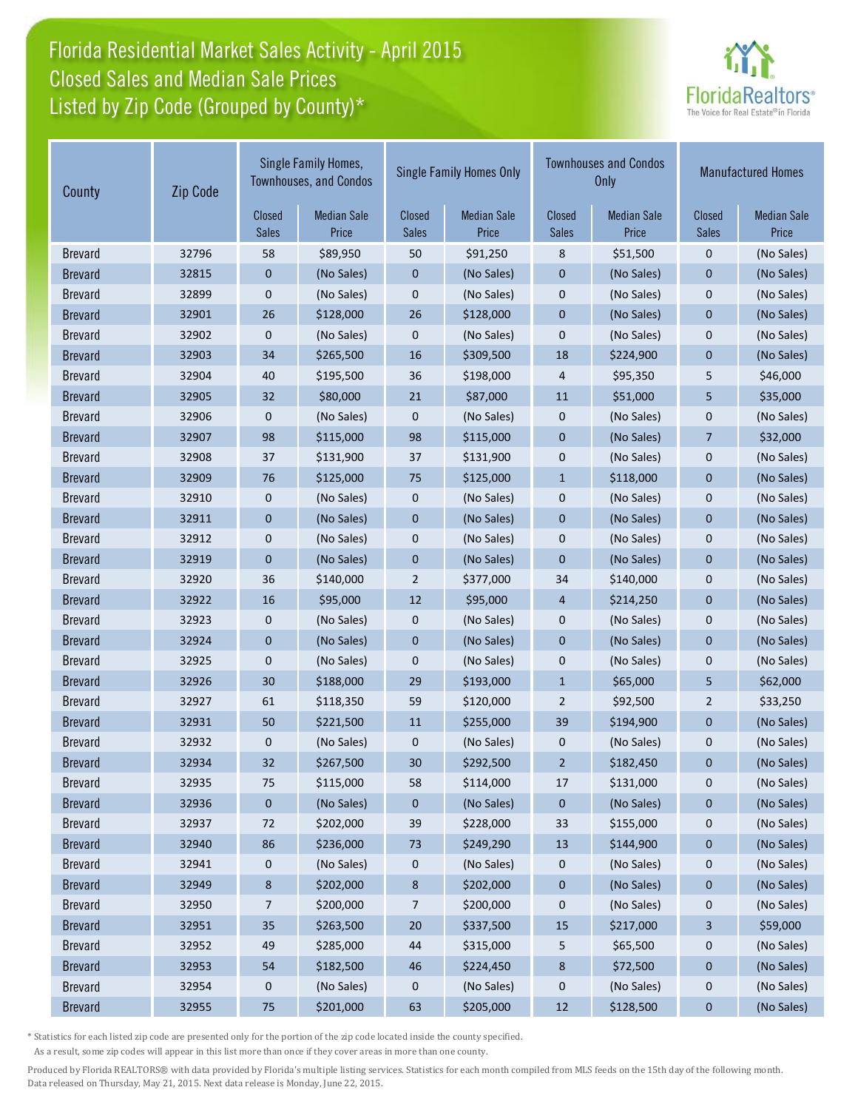# Florida Residential Market Sales Activity - April 2015 Listed by Zip Code (Grouped by County)\* Closed Sales and Median Sale Prices



| County         | Zip Code | Single Family Homes,<br><b>Townhouses, and Condos</b> |                             | <b>Single Family Homes Only</b> |                             |                        | <b>Townhouses and Condos</b><br>Only | <b>Manufactured Homes</b> |                             |
|----------------|----------|-------------------------------------------------------|-----------------------------|---------------------------------|-----------------------------|------------------------|--------------------------------------|---------------------------|-----------------------------|
|                |          | Closed<br>Sales                                       | <b>Median Sale</b><br>Price | Closed<br><b>Sales</b>          | <b>Median Sale</b><br>Price | Closed<br><b>Sales</b> | <b>Median Sale</b><br>Price          | Closed<br><b>Sales</b>    | <b>Median Sale</b><br>Price |
| <b>Brevard</b> | 32796    | 58                                                    | \$89,950                    | 50                              | \$91,250                    | 8                      | \$51,500                             | $\mathbf 0$               | (No Sales)                  |
| <b>Brevard</b> | 32815    | $\mathbf 0$                                           | (No Sales)                  | $\pmb{0}$                       | (No Sales)                  | $\pmb{0}$              | (No Sales)                           | $\mathbf 0$               | (No Sales)                  |
| <b>Brevard</b> | 32899    | 0                                                     | (No Sales)                  | 0                               | (No Sales)                  | $\mathbf 0$            | (No Sales)                           | $\mathbf 0$               | (No Sales)                  |
| <b>Brevard</b> | 32901    | 26                                                    | \$128,000                   | 26                              | \$128,000                   | $\pmb{0}$              | (No Sales)                           | $\mathbf 0$               | (No Sales)                  |
| <b>Brevard</b> | 32902    | $\mathbf 0$                                           | (No Sales)                  | 0                               | (No Sales)                  | $\mathbf 0$            | (No Sales)                           | $\mathbf 0$               | (No Sales)                  |
| <b>Brevard</b> | 32903    | 34                                                    | \$265,500                   | 16                              | \$309,500                   | 18                     | \$224,900                            | $\mathbf 0$               | (No Sales)                  |
| <b>Brevard</b> | 32904    | 40                                                    | \$195,500                   | 36                              | \$198,000                   | 4                      | \$95,350                             | 5                         | \$46,000                    |
| <b>Brevard</b> | 32905    | 32                                                    | \$80,000                    | 21                              | \$87,000                    | 11                     | \$51,000                             | 5                         | \$35,000                    |
| <b>Brevard</b> | 32906    | $\mathbf 0$                                           | (No Sales)                  | 0                               | (No Sales)                  | $\pmb{0}$              | (No Sales)                           | $\mathbf 0$               | (No Sales)                  |
| <b>Brevard</b> | 32907    | 98                                                    | \$115,000                   | 98                              | \$115,000                   | $\mathbf{0}$           | (No Sales)                           | $\overline{7}$            | \$32,000                    |
| <b>Brevard</b> | 32908    | 37                                                    | \$131,900                   | 37                              | \$131,900                   | $\mathbf 0$            | (No Sales)                           | $\mathbf 0$               | (No Sales)                  |
| <b>Brevard</b> | 32909    | 76                                                    | \$125,000                   | 75                              | \$125,000                   | $\mathbf{1}$           | \$118,000                            | $\mathbf 0$               | (No Sales)                  |
| <b>Brevard</b> | 32910    | 0                                                     | (No Sales)                  | 0                               | (No Sales)                  | $\pmb{0}$              | (No Sales)                           | $\mathbf 0$               | (No Sales)                  |
| <b>Brevard</b> | 32911    | $\boldsymbol{0}$                                      | (No Sales)                  | $\pmb{0}$                       | (No Sales)                  | $\mathbf 0$            | (No Sales)                           | $\mathbf{0}$              | (No Sales)                  |
| <b>Brevard</b> | 32912    | 0                                                     | (No Sales)                  | 0                               | (No Sales)                  | $\pmb{0}$              | (No Sales)                           | $\mathbf 0$               | (No Sales)                  |
| <b>Brevard</b> | 32919    | $\mathbf{0}$                                          | (No Sales)                  | $\pmb{0}$                       | (No Sales)                  | $\mathbf{0}$           | (No Sales)                           | $\mathbf{0}$              | (No Sales)                  |
| <b>Brevard</b> | 32920    | 36                                                    | \$140,000                   | $\overline{2}$                  | \$377,000                   | 34                     | \$140,000                            | $\mathbf 0$               | (No Sales)                  |
| <b>Brevard</b> | 32922    | 16                                                    | \$95,000                    | 12                              | \$95,000                    | 4                      | \$214,250                            | $\mathbf 0$               | (No Sales)                  |
| <b>Brevard</b> | 32923    | $\mathbf 0$                                           | (No Sales)                  | 0                               | (No Sales)                  | $\mathbf 0$            | (No Sales)                           | $\mathbf 0$               | (No Sales)                  |
| <b>Brevard</b> | 32924    | $\mathbf 0$                                           | (No Sales)                  | $\mathbf 0$                     | (No Sales)                  | $\mathbf{0}$           | (No Sales)                           | $\mathbf{0}$              | (No Sales)                  |
| <b>Brevard</b> | 32925    | 0                                                     | (No Sales)                  | 0                               | (No Sales)                  | $\pmb{0}$              | (No Sales)                           | $\pmb{0}$                 | (No Sales)                  |
| <b>Brevard</b> | 32926    | 30                                                    | \$188,000                   | 29                              | \$193,000                   | $\mathbf{1}$           | \$65,000                             | 5                         | \$62,000                    |
| <b>Brevard</b> | 32927    | 61                                                    | \$118,350                   | 59                              | \$120,000                   | $\overline{2}$         | \$92,500                             | $\overline{2}$            | \$33,250                    |
| <b>Brevard</b> | 32931    | 50                                                    | \$221,500                   | 11                              | \$255,000                   | 39                     | \$194,900                            | $\mathbf{0}$              | (No Sales)                  |
| <b>Brevard</b> | 32932    | 0                                                     | (No Sales)                  | 0                               | (No Sales)                  | $\mathbf 0$            | (No Sales)                           | $\mathbf 0$               | (No Sales)                  |
| <b>Brevard</b> | 32934    | 32                                                    | \$267,500                   | 30                              | \$292,500                   | $\overline{2}$         | \$182,450                            | $\pmb{0}$                 | (No Sales)                  |
| <b>Brevard</b> | 32935    | 75                                                    | \$115,000                   | 58                              | \$114,000                   | 17                     | \$131,000                            | 0                         | (No Sales)                  |
| <b>Brevard</b> | 32936    | $\boldsymbol{0}$                                      | (No Sales)                  | 0                               | (No Sales)                  | $\mathbf{0}$           | (No Sales)                           | $\bf{0}$                  | (No Sales)                  |
| <b>Brevard</b> | 32937    | 72                                                    | \$202,000                   | 39                              | \$228,000                   | 33                     | \$155,000                            | $\boldsymbol{0}$          | (No Sales)                  |
| <b>Brevard</b> | 32940    | 86                                                    | \$236,000                   | 73                              | \$249,290                   | 13                     | \$144,900                            | $\boldsymbol{0}$          | (No Sales)                  |
| <b>Brevard</b> | 32941    | 0                                                     | (No Sales)                  | 0                               | (No Sales)                  | $\pmb{0}$              | (No Sales)                           | $\boldsymbol{0}$          | (No Sales)                  |
| <b>Brevard</b> | 32949    | 8                                                     | \$202,000                   | 8                               | \$202,000                   | 0                      | (No Sales)                           | $\bf{0}$                  | (No Sales)                  |
| <b>Brevard</b> | 32950    | 7                                                     | \$200,000                   | 7                               | \$200,000                   | 0                      | (No Sales)                           | $\boldsymbol{0}$          | (No Sales)                  |
| <b>Brevard</b> | 32951    | 35                                                    | \$263,500                   | 20                              | \$337,500                   | 15                     | \$217,000                            | 3                         | \$59,000                    |
| <b>Brevard</b> | 32952    | 49                                                    | \$285,000                   | 44                              | \$315,000                   | 5                      | \$65,500                             | $\boldsymbol{0}$          | (No Sales)                  |
| <b>Brevard</b> | 32953    | 54                                                    | \$182,500                   | 46                              | \$224,450                   | $\bf 8$                | \$72,500                             | $\pmb{0}$                 | (No Sales)                  |
| <b>Brevard</b> | 32954    | 0                                                     | (No Sales)                  | 0                               | (No Sales)                  | 0                      | (No Sales)                           | $\boldsymbol{0}$          | (No Sales)                  |
| <b>Brevard</b> | 32955    | 75                                                    | \$201,000                   | 63                              | \$205,000                   | $12\,$                 | \$128,500                            | $\pmb{0}$                 | (No Sales)                  |

\* Statistics for each listed zip code are presented only for the portion of the zip code located inside the county specified.

As a result, some zip codes will appear in this list more than once if they cover areas in more than one county.